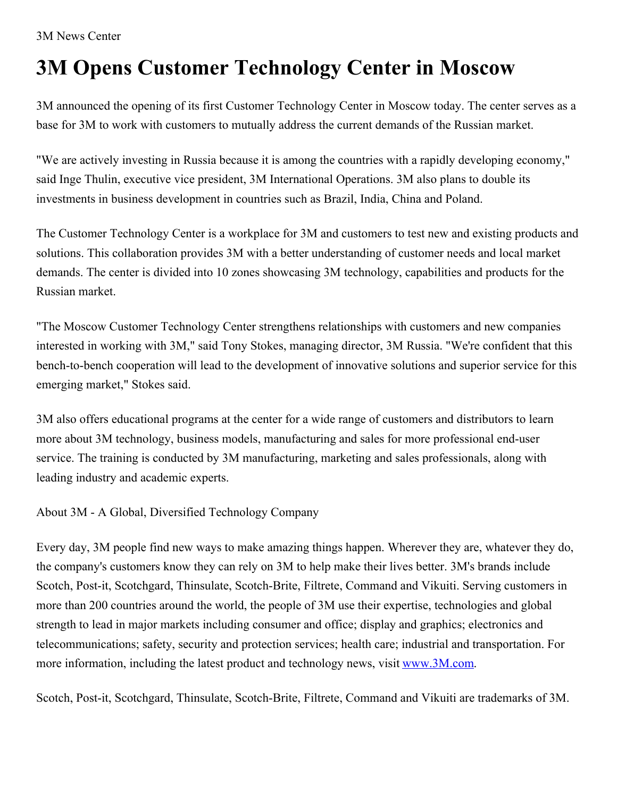3M News Center

## **3M Opens Customer Technology Center in Moscow**

3M announced the opening of its first Customer Technology Center in Moscow today. The center serves as a base for 3M to work with customers to mutually address the current demands of the Russian market.

"We are actively investing in Russia because it is among the countries with a rapidly developing economy," said Inge Thulin, executive vice president, 3M International Operations. 3M also plans to double its investments in business development in countries such as Brazil, India, China and Poland.

The Customer Technology Center is a workplace for 3M and customers to test new and existing products and solutions. This collaboration provides 3M with a better understanding of customer needs and local market demands. The center is divided into 10 zones showcasing 3M technology, capabilities and products for the Russian market.

"The Moscow Customer Technology Center strengthens relationships with customers and new companies interested in working with 3M," said Tony Stokes, managing director, 3M Russia. "We're confident that this bench-to-bench cooperation will lead to the development of innovative solutions and superior service for this emerging market," Stokes said.

3M also offers educational programs at the center for a wide range of customers and distributors to learn more about 3M technology, business models, manufacturing and sales for more professional end-user service. The training is conducted by 3M manufacturing, marketing and sales professionals, along with leading industry and academic experts.

About 3M - A Global, Diversified Technology Company

Every day, 3M people find new ways to make amazing things happen. Wherever they are, whatever they do, the company's customers know they can rely on 3M to help make their lives better. 3M's brands include Scotch, Post-it, Scotchgard, Thinsulate, Scotch-Brite, Filtrete, Command and Vikuiti. Serving customers in more than 200 countries around the world, the people of 3M use their expertise, technologies and global strength to lead in major markets including consumer and office; display and graphics; electronics and telecommunications; safety, security and protection services; health care; industrial and transportation. For more information, including the latest product and technology news, visit [www.3M.com](http://www.3m.com/).

Scotch, Post-it, Scotchgard, Thinsulate, Scotch-Brite, Filtrete, Command and Vikuiti are trademarks of 3M.